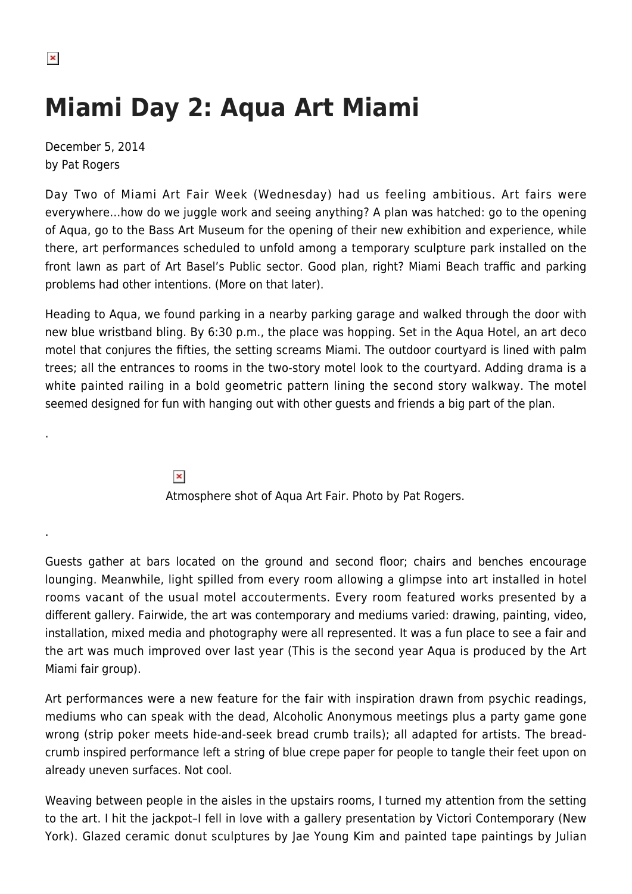## **Miami Day 2: Aqua Art Miami**

December 5, 2014 by Pat Rogers

Day Two of Miami Art Fair Week (Wednesday) had us feeling ambitious. Art fairs were everywhere…how do we juggle work and seeing anything? A plan was hatched: go to the opening of Aqua, go to the Bass Art Museum for the opening of their new exhibition and experience, while there, art performances scheduled to unfold among a temporary sculpture park installed on the front lawn as part of Art Basel's Public sector. Good plan, right? Miami Beach traffic and parking problems had other intentions. (More on that later).

Heading to Aqua, we found parking in a nearby parking garage and walked through the door with new blue wristband bling. By 6:30 p.m., the place was hopping. Set in the Aqua Hotel, an art deco motel that conjures the fifties, the setting screams Miami. The outdoor courtyard is lined with palm trees; all the entrances to rooms in the two-story motel look to the courtyard. Adding drama is a white painted railing in a bold geometric pattern lining the second story walkway. The motel seemed designed for fun with hanging out with other guests and friends a big part of the plan.

> $\pmb{\times}$ Atmosphere shot of Aqua Art Fair. Photo by Pat Rogers.

Guests gather at bars located on the ground and second floor; chairs and benches encourage lounging. Meanwhile, light spilled from every room allowing a glimpse into art installed in hotel rooms vacant of the usual motel accouterments. Every room featured works presented by a different gallery. Fairwide, the art was contemporary and mediums varied: drawing, painting, video, installation, mixed media and photography were all represented. It was a fun place to see a fair and the art was much improved over last year (This is the second year Aqua is produced by the Art Miami fair group).

Art performances were a new feature for the fair with inspiration drawn from psychic readings, mediums who can speak with the dead, Alcoholic Anonymous meetings plus a party game gone wrong (strip poker meets hide-and-seek bread crumb trails); all adapted for artists. The breadcrumb inspired performance left a string of blue crepe paper for people to tangle their feet upon on already uneven surfaces. Not cool.

Weaving between people in the aisles in the upstairs rooms, I turned my attention from the setting to the art. I hit the jackpot–I fell in love with a gallery presentation by Victori Contemporary (New York). Glazed ceramic donut sculptures by Jae Young Kim and painted tape paintings by Julian

.

.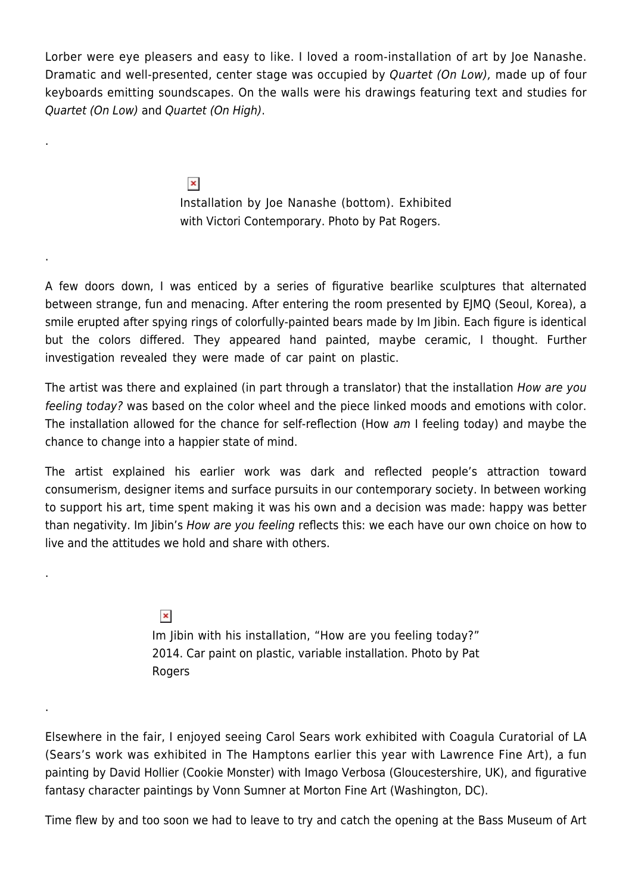Lorber were eye pleasers and easy to like. I loved a room-installation of art by Joe Nanashe. Dramatic and well-presented, center stage was occupied by Quartet (On Low), made up of four keyboards emitting soundscapes. On the walls were his drawings featuring text and studies for Quartet (On Low) and Quartet (On High).

> $\pmb{\times}$ Installation by Joe Nanashe (bottom). Exhibited with Victori Contemporary. Photo by Pat Rogers.

.

.

.

.

A few doors down, I was enticed by a series of figurative bearlike sculptures that alternated between strange, fun and menacing. After entering the room presented by EJMQ (Seoul, Korea), a smile erupted after spying rings of colorfully-painted bears made by Im Jibin. Each figure is identical but the colors differed. They appeared hand painted, maybe ceramic, I thought. Further investigation revealed they were made of car paint on plastic.

The artist was there and explained (in part through a translator) that the installation How are you feeling today? was based on the color wheel and the piece linked moods and emotions with color. The installation allowed for the chance for self-reflection (How am I feeling today) and maybe the chance to change into a happier state of mind.

The artist explained his earlier work was dark and reflected people's attraction toward consumerism, designer items and surface pursuits in our contemporary society. In between working to support his art, time spent making it was his own and a decision was made: happy was better than negativity. Im Jibin's How are you feeling reflects this: we each have our own choice on how to live and the attitudes we hold and share with others.

> $\pmb{\times}$ Im Jibin with his installation, "How are you feeling today?" 2014. Car paint on plastic, variable installation. Photo by Pat Rogers

Elsewhere in the fair, I enjoyed seeing Carol Sears work exhibited with Coagula Curatorial of LA (Sears's work was exhibited in The Hamptons earlier this year with Lawrence Fine Art), a fun painting by David Hollier (Cookie Monster) with Imago Verbosa (Gloucestershire, UK), and figurative fantasy character paintings by Vonn Sumner at Morton Fine Art (Washington, DC).

Time flew by and too soon we had to leave to try and catch the opening at the Bass Museum of Art